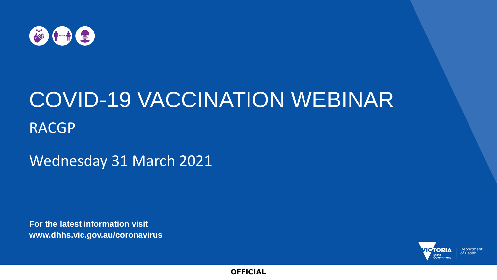

# COVID-19 VACCINATION WEBINAR RACGP

Wednesday 31 March 2021

**For the latest information visit www.dhhs.vic.gov.au/coronavirus**

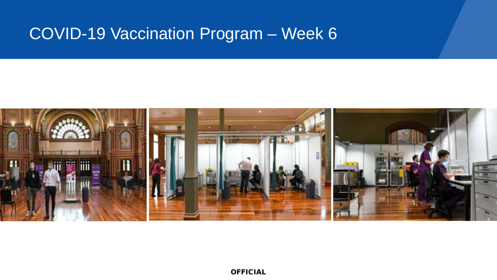### COVID-19 Vaccination Program – Week 6

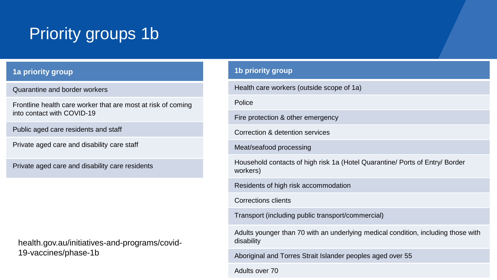# Priority groups 1b

#### **1a priority group**

Quarantine and border workers

Frontline health care worker that are most at risk of coming into contact with COVID-19

Public aged care residents and staff

Private aged care and disability care staff

Private aged care and disability care residents

health.gov.au/initiatives-and-programs/covid-19-vaccines/phase-1b

#### **1b priority group**

| Health care workers (outside scope of 1a)                                                       |
|-------------------------------------------------------------------------------------------------|
| Police                                                                                          |
| Fire protection & other emergency                                                               |
| Correction & detention services                                                                 |
| Meat/seafood processing                                                                         |
| Household contacts of high risk 1a (Hotel Quarantine/ Ports of Entry/ Border<br>workers)        |
| Residents of high risk accommodation                                                            |
| Corrections clients                                                                             |
| Transport (including public transport/commercial)                                               |
| Adults younger than 70 with an underlying medical condition, including those with<br>disability |
| Aboriginal and Torres Strait Islander peoples aged over 55                                      |
|                                                                                                 |

Adults over 70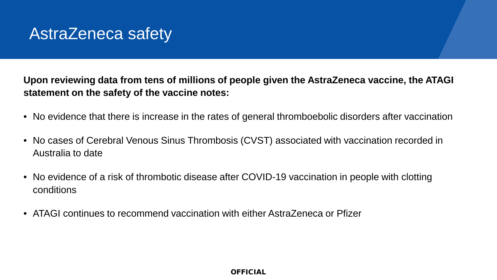## AstraZeneca safety

**Upon reviewing data from tens of millions of people given the AstraZeneca vaccine, the ATAGI statement on the safety of the vaccine notes:**

- No evidence that there is increase in the rates of general thromboebolic disorders after vaccination
- No cases of Cerebral Venous Sinus Thrombosis (CVST) associated with vaccination recorded in Australia to date
- No evidence of a risk of thrombotic disease after COVID-19 vaccination in people with clotting conditions
- ATAGI continues to recommend vaccination with either AstraZeneca or Pfizer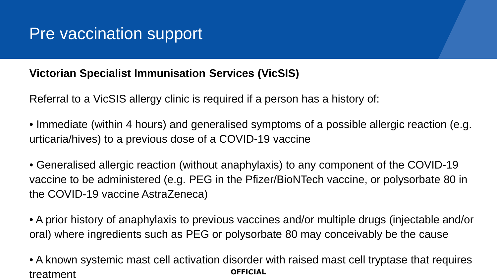## Pre vaccination support

### **Victorian Specialist Immunisation Services (VicSIS)**

Referral to a VicSIS allergy clinic is required if a person has a history of:

• Immediate (within 4 hours) and generalised symptoms of a possible allergic reaction (e.g. urticaria/hives) to a previous dose of a COVID-19 vaccine

• Generalised allergic reaction (without anaphylaxis) to any component of the COVID-19 vaccine to be administered (e.g. PEG in the Pfizer/BioNTech vaccine, or polysorbate 80 in the COVID-19 vaccine AstraZeneca)

• A prior history of anaphylaxis to previous vaccines and/or multiple drugs (injectable and/or oral) where ingredients such as PEG or polysorbate 80 may conceivably be the cause

OFFICIAL • A known systemic mast cell activation disorder with raised mast cell tryptase that requires treatment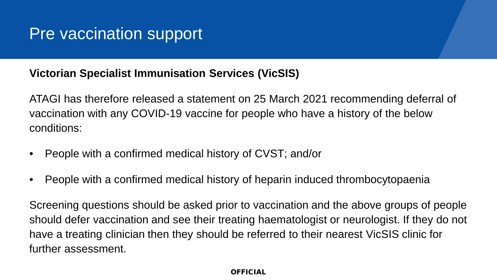## Pre vaccination support

### **Victorian Specialist Immunisation Services (VicSIS)**

ATAGI has therefore released a statement on 25 March 2021 recommending deferral of vaccination with any COVID-19 vaccine for people who have a history of the below conditions:

- People with a confirmed medical history of CVST; and/or
- People with a confirmed medical history of heparin induced thrombocytopaenia

Screening questions should be asked prior to vaccination and the above groups of people should defer vaccination and see their treating haematologist or neurologist. If they do not have a treating clinician then they should be referred to their nearest VicSIS clinic for further assessment.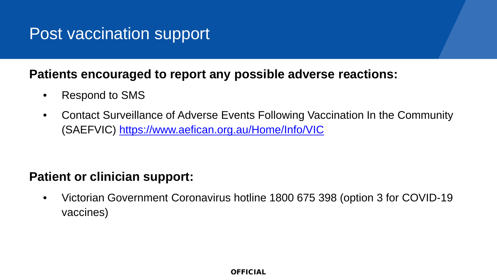## Post vaccination support

### **Patients encouraged to report any possible adverse reactions:**

- Respond to SMS
- Contact Surveillance of Adverse Events Following Vaccination In the Community (SAEFVIC) <https://www.aefican.org.au/Home/Info/VIC>

### **Patient or clinician support:**

• Victorian Government Coronavirus hotline 1800 675 398 (option 3 for COVID-19 vaccines)